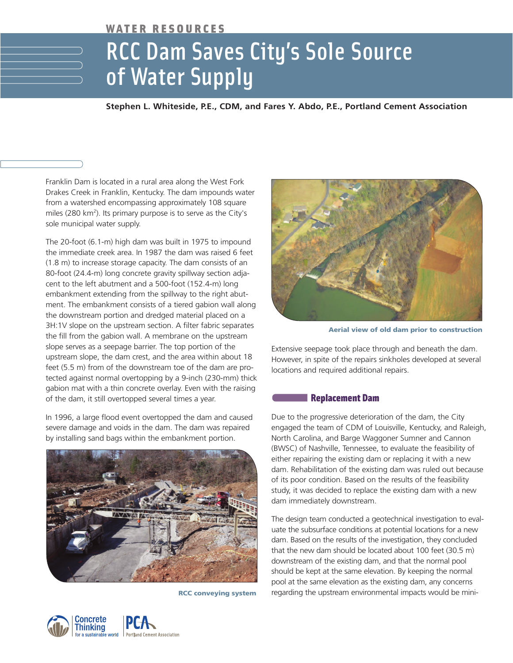# WATER RESOURCES

# RCC Dam Saves City's Sole Source of Water Supply

### **Stephen L. Whiteside, P.E., CDM, and Fares Y. Abdo, P.E., Portland Cement Association**

Franklin Dam is located in a rural area along the West Fork Drakes Creek in Franklin, Kentucky. The dam impounds water from a watershed encompassing approximately 108 square miles (280 km<sup>2</sup>). Its primary purpose is to serve as the City's sole municipal water supply.

The 20-foot (6.1-m) high dam was built in 1975 to impound the immediate creek area. In 1987 the dam was raised 6 feet (1.8 m) to increase storage capacity. The dam consists of an 80-foot (24.4-m) long concrete gravity spillway section adjacent to the left abutment and a 500-foot (152.4-m) long embankment extending from the spillway to the right abutment. The embankment consists of a tiered gabion wall along the downstream portion and dredged material placed on a 3H:1V slope on the upstream section. A filter fabric separates the fill from the gabion wall. A membrane on the upstream slope serves as a seepage barrier. The top portion of the upstream slope, the dam crest, and the area within about 18 feet (5.5 m) from of the downstream toe of the dam are protected against normal overtopping by a 9-inch (230-mm) thick gabion mat with a thin concrete overlay. Even with the raising of the dam, it still overtopped several times a year.

In 1996, a large flood event overtopped the dam and caused severe damage and voids in the dam. The dam was repaired by installing sand bags within the embankment portion.



**RCC conveying system**





**Aerial view of old dam prior to construction**

Extensive seepage took place through and beneath the dam. However, in spite of the repairs sinkholes developed at several locations and required additional repairs.

#### Replacement Dam

Due to the progressive deterioration of the dam, the City engaged the team of CDM of Louisville, Kentucky, and Raleigh, North Carolina, and Barge Waggoner Sumner and Cannon (BWSC) of Nashville, Tennessee, to evaluate the feasibility of either repairing the existing dam or replacing it with a new dam. Rehabilitation of the existing dam was ruled out because of its poor condition. Based on the results of the feasibility study, it was decided to replace the existing dam with a new dam immediately downstream.

The design team conducted a geotechnical investigation to evaluate the subsurface conditions at potential locations for a new dam. Based on the results of the investigation, they concluded that the new dam should be located about 100 feet (30.5 m) downstream of the existing dam, and that the normal pool should be kept at the same elevation. By keeping the normal pool at the same elevation as the existing dam, any concerns regarding the upstream environmental impacts would be mini-